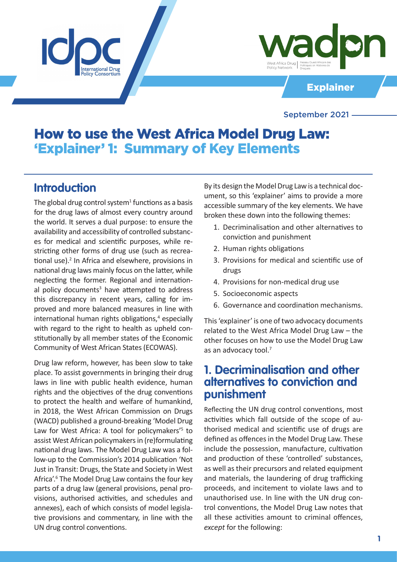

Explainer

### September 2021

# How to use the West Africa Model Drug Law: 'Explainer' 1: Summary of Key Elements

## **Introduction**

The global drug control system<sup>1</sup> functions as a basis for the drug laws of almost every country around the world. It serves a dual purpose: to ensure the availability and accessibility of controlled substances for medical and scientific purposes, while restricting other forms of drug use (such as recreational use).<sup>2</sup> In Africa and elsewhere, provisions in national drug laws mainly focus on the latter, while neglecting the former. Regional and international policy documents<sup>3</sup> have attempted to address this discrepancy in recent years, calling for improved and more balanced measures in line with international human rights obligations,<sup>4</sup> especially with regard to the right to health as upheld constitutionally by all member states of the Economic Community of West African States (ECOWAS).

Drug law reform, however, has been slow to take place. To assist governments in bringing their drug laws in line with public health evidence, human rights and the objectives of the drug conventions to protect the health and welfare of humankind, in 2018, the West African Commission on Drugs (WACD) published a ground-breaking 'Model Drug Law for West Africa: A tool for policymakers'<sup>5</sup> to assist West African policymakers in (re)formulating national drug laws. The Model Drug Law was a follow-up to the Commission's 2014 publication 'Not Just in Transit: Drugs, the State and Society in West Africa'.<sup>6</sup> The Model Drug Law contains the four key parts of a drug law (general provisions, penal provisions, authorised activities, and schedules and annexes), each of which consists of model legislative provisions and commentary, in line with the UN drug control conventions.

By its design the Model Drug Law is a technical document, so this 'explainer' aims to provide a more accessible summary of the key elements. We have broken these down into the following themes:

- 1. Decriminalisation and other alternatives to conviction and punishment
- 2. Human rights obligations
- 3. Provisions for medical and scientific use of drugs
- 4. Provisions for non-medical drug use
- 5. Socioeconomic aspects
- 6. Governance and coordination mechanisms.

This 'explainer' is one of two advocacy documents related to the West Africa Model Drug Law – the other focuses on how to use the Model Drug Law as an advocacy tool.7

## **1. Decriminalisation and other alternatives to conviction and punishment**

Reflecting the UN drug control conventions, most activities which fall outside of the scope of authorised medical and scientific use of drugs are defined as offences in the Model Drug Law. These include the possession, manufacture, cultivation and production of these 'controlled' substances, as well as their precursors and related equipment and materials, the laundering of drug trafficking proceeds, and incitement to violate laws and to unauthorised use. In line with the UN drug control conventions, the Model Drug Law notes that all these activities amount to criminal offences, *except* for the following: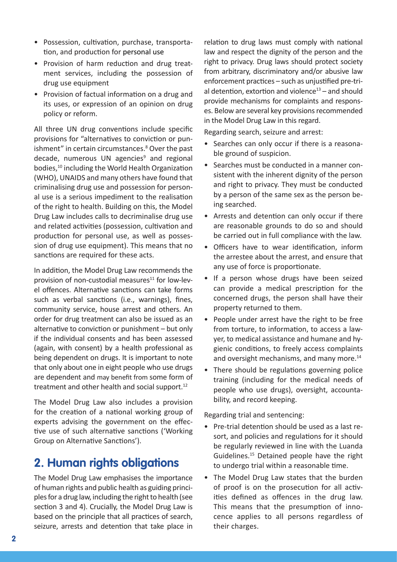- Possession, cultivation, purchase, transportation, and production for personal use
- Provision of harm reduction and drug treatment services, including the possession of drug use equipment
- Provision of factual information on a drug and its uses, or expression of an opinion on drug policy or reform.

All three UN drug conventions include specific provisions for "alternatives to conviction or punishment" in certain circumstances.<sup>8</sup> Over the past decade, numerous UN agencies<sup>9</sup> and regional bodies,<sup>10</sup> including the World Health Organization (WHO), UNAIDS and many others have found that criminalising drug use and possession for personal use is a serious impediment to the realisation of the right to health. Building on this, the Model Drug Law includes calls to decriminalise drug use and related activities (possession, cultivation and production for personal use, as well as possession of drug use equipment). This means that no sanctions are required for these acts.

In addition, the Model Drug Law recommends the provision of non-custodial measures $11$  for low-level offences. Alternative sanctions can take forms such as verbal sanctions (i.e., warnings), fines, community service, house arrest and others. An order for drug treatment can also be issued as an alternative to conviction or punishment – but only if the individual consents and has been assessed (again, with consent) by a health professional as being dependent on drugs. It is important to note that only about one in eight people who use drugs are dependent and may benefit from some form of treatment and other health and social support.<sup>12</sup>

The Model Drug Law also includes a provision for the creation of a national working group of experts advising the government on the effective use of such alternative sanctions ('Working Group on Alternative Sanctions').

## **2. Human rights obligations**

The Model Drug Law emphasises the importance of human rights and public health as guiding principles for a drug law, including the right to health (see section 3 and 4). Crucially, the Model Drug Law is based on the principle that all practices of search, seizure, arrests and detention that take place in

relation to drug laws must comply with national law and respect the dignity of the person and the right to privacy. Drug laws should protect society from arbitrary, discriminatory and/or abusive law enforcement practices – such as unjustified pre-trial detention, extortion and violence $13$  – and should provide mechanisms for complaints and responses. Below are several key provisions recommended in the Model Drug Law in this regard.

Regarding search, seizure and arrest:

- Searches can only occur if there is a reasonable ground of suspicion.
- Searches must be conducted in a manner consistent with the inherent dignity of the person and right to privacy. They must be conducted by a person of the same sex as the person being searched.
- Arrests and detention can only occur if there are reasonable grounds to do so and should be carried out in full compliance with the law.
- Officers have to wear identification, inform the arrestee about the arrest, and ensure that any use of force is proportionate.
- If a person whose drugs have been seized can provide a medical prescription for the concerned drugs, the person shall have their property returned to them.
- People under arrest have the right to be free from torture, to information, to access a lawyer, to medical assistance and humane and hygienic conditions, to freely access complaints and oversight mechanisms, and many more.<sup>14</sup>
- There should be regulations governing police training (including for the medical needs of people who use drugs), oversight, accountability, and record keeping.

Regarding trial and sentencing:

- Pre-trial detention should be used as a last resort, and policies and regulations for it should be regularly reviewed in line with the Luanda Guidelines.15 Detained people have the right to undergo trial within a reasonable time.
- The Model Drug Law states that the burden of proof is on the prosecution for all activities defined as offences in the drug law. This means that the presumption of innocence applies to all persons regardless of their charges.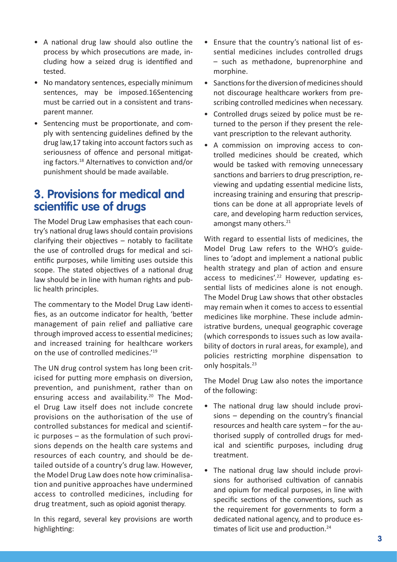- A national drug law should also outline the process by which prosecutions are made, including how a seized drug is identified and tested.
- No mandatory sentences, especially minimum sentences, may be imposed.16Sentencing must be carried out in a consistent and transparent manner.
- Sentencing must be proportionate, and comply with sentencing guidelines defined by the drug law,17 taking into account factors such as seriousness of offence and personal mitigating factors.18 Alternatives to conviction and/or punishment should be made available.

## **3. Provisions for medical and scientific use of drugs**

The Model Drug Law emphasises that each country's national drug laws should contain provisions clarifying their objectives – notably to facilitate the use of controlled drugs for medical and scientific purposes, while limiting uses outside this scope. The stated objectives of a national drug law should be in line with human rights and public health principles.

The commentary to the Model Drug Law identifies, as an outcome indicator for health, 'better management of pain relief and palliative care through improved access to essential medicines; and increased training for healthcare workers on the use of controlled medicines.'19

The UN drug control system has long been criticised for putting more emphasis on diversion, prevention, and punishment, rather than on ensuring access and availability.<sup>20</sup> The Model Drug Law itself does not include concrete provisions on the authorisation of the use of controlled substances for medical and scientific purposes – as the formulation of such provisions depends on the health care systems and resources of each country, and should be detailed outside of a country's drug law. However, the Model Drug Law does note how criminalisation and punitive approaches have undermined access to controlled medicines, including for drug treatment, such as opioid agonist therapy.

In this regard, several key provisions are worth highlighting:

- Ensure that the country's national list of essential medicines includes controlled drugs – such as methadone, buprenorphine and morphine.
- Sanctions for the diversion of medicines should not discourage healthcare workers from prescribing controlled medicines when necessary.
- Controlled drugs seized by police must be returned to the person if they present the relevant prescription to the relevant authority.
- A commission on improving access to controlled medicines should be created, which would be tasked with removing unnecessary sanctions and barriers to drug prescription, reviewing and updating essential medicine lists, increasing training and ensuring that prescriptions can be done at all appropriate levels of care, and developing harm reduction services, amongst many others.<sup>21</sup>

With regard to essential lists of medicines, the Model Drug Law refers to the WHO's guidelines to 'adopt and implement a national public health strategy and plan of action and ensure access to medicines'.<sup>22</sup> However, updating essential lists of medicines alone is not enough. The Model Drug Law shows that other obstacles may remain when it comes to access to essential medicines like morphine. These include administrative burdens, unequal geographic coverage (which corresponds to issues such as low availability of doctors in rural areas, for example), and policies restricting morphine dispensation to only hospitals.<sup>23</sup>

The Model Drug Law also notes the importance of the following:

- The national drug law should include provisions – depending on the country's financial resources and health care system – for the authorised supply of controlled drugs for medical and scientific purposes, including drug treatment.
- The national drug law should include provisions for authorised cultivation of cannabis and opium for medical purposes, in line with specific sections of the conventions, such as the requirement for governments to form a dedicated national agency, and to produce estimates of licit use and production.<sup>24</sup>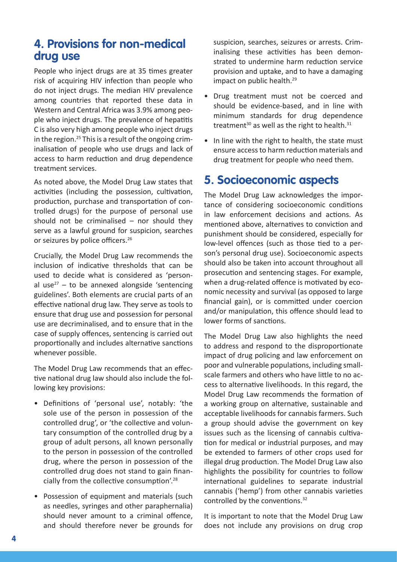## **4. Provisions for non-medical drug use**

People who inject drugs are at 35 times greater risk of acquiring HIV infection than people who do not inject drugs. The median HIV prevalence among countries that reported these data in Western and Central Africa was 3.9% among people who inject drugs. The prevalence of hepatitis C is also very high among people who inject drugs in the region.<sup>25</sup> This is a result of the ongoing criminalisation of people who use drugs and lack of access to harm reduction and drug dependence treatment services.

As noted above, the Model Drug Law states that activities (including the possession, cultivation, production, purchase and transportation of controlled drugs) for the purpose of personal use should not be criminalised  $-$  nor should they serve as a lawful ground for suspicion, searches or seizures by police officers.<sup>26</sup>

Crucially, the Model Drug Law recommends the inclusion of indicative thresholds that can be used to decide what is considered as 'personal use<sup>27</sup> – to be annexed alongside 'sentencing guidelines'. Both elements are crucial parts of an effective national drug law. They serve as tools to ensure that drug use and possession for personal use are decriminalised, and to ensure that in the case of supply offences, sentencing is carried out proportionally and includes alternative sanctions whenever possible.

The Model Drug Law recommends that an effective national drug law should also include the following key provisions:

- Definitions of 'personal use', notably: 'the sole use of the person in possession of the controlled drug', or 'the collective and voluntary consumption of the controlled drug by a group of adult persons, all known personally to the person in possession of the controlled drug, where the person in possession of the controlled drug does not stand to gain financially from the collective consumption'.<sup>28</sup>
- Possession of equipment and materials (such as needles, syringes and other paraphernalia) should never amount to a criminal offence, and should therefore never be grounds for

suspicion, searches, seizures or arrests. Criminalising these activities has been demonstrated to undermine harm reduction service provision and uptake, and to have a damaging impact on public health.<sup>29</sup>

- Drug treatment must not be coerced and should be evidence-based, and in line with minimum standards for drug dependence treatment<sup>30</sup> as well as the right to health.<sup>31</sup>
- In line with the right to health, the state must ensure access to harm reduction materials and drug treatment for people who need them.

# **5. Socioeconomic aspects**

The Model Drug Law acknowledges the importance of considering socioeconomic conditions in law enforcement decisions and actions. As mentioned above, alternatives to conviction and punishment should be considered, especially for low-level offences (such as those tied to a person's personal drug use). Socioeconomic aspects should also be taken into account throughout all prosecution and sentencing stages. For example, when a drug-related offence is motivated by economic necessity and survival (as opposed to large financial gain), or is committed under coercion and/or manipulation, this offence should lead to lower forms of sanctions.

The Model Drug Law also highlights the need to address and respond to the disproportionate impact of drug policing and law enforcement on poor and vulnerable populations, including smallscale farmers and others who have little to no access to alternative livelihoods. In this regard, the Model Drug Law recommends the formation of a working group on alternative, sustainable and acceptable livelihoods for cannabis farmers. Such a group should advise the government on key issues such as the licensing of cannabis cultivation for medical or industrial purposes, and may be extended to farmers of other crops used for illegal drug production. The Model Drug Law also highlights the possibility for countries to follow international guidelines to separate industrial cannabis ('hemp') from other cannabis varieties controlled by the conventions.<sup>32</sup>

It is important to note that the Model Drug Law does not include any provisions on drug crop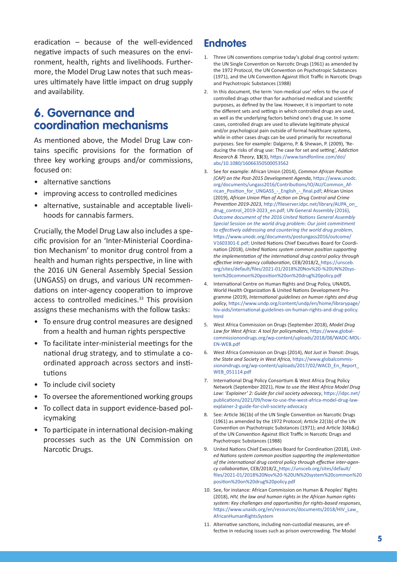eradication – because of the well-evidenced negative impacts of such measures on the environment, health, rights and livelihoods. Furthermore, the Model Drug Law notes that such measures ultimately have little impact on drug supply and availability.

## **6. Governance and coordination mechanisms**

As mentioned above, the Model Drug Law contains specific provisions for the formation of three key working groups and/or commissions, focused on:

- alternative sanctions
- improving access to controlled medicines
- alternative, sustainable and acceptable livelihoods for cannabis farmers.

Crucially, the Model Drug Law also includes a specific provision for an 'Inter-Ministerial Coordination Mechanism' to monitor drug control from a health and human rights perspective, in line with the 2016 UN General Assembly Special Session (UNGASS) on drugs, and various UN recommendations on inter-agency cooperation to improve access to controlled medicines.<sup>33</sup> This provision assigns these mechanisms with the follow tasks:

- To ensure drug control measures are designed from a health and human rights perspective
- To facilitate inter-ministerial meetings for the national drug strategy, and to stimulate a coordinated approach across sectors and institutions
- To include civil society
- To oversee the aforementioned working groups
- To collect data in support evidence-based policymaking
- To participate in international decision-making processes such as the UN Commission on Narcotic Drugs.

### **Endnotes**

- 1. Three UN conventions comprise today's global drug control system: the UN Single Convention on Narcotic Drugs (1961) as amended by the 1972 Protocol, the UN Convention on Psychotropic Substances (1971), and the UN Convention Against Illicit Traffic in Narcotic Drugs and Psychotropic Substances (1988)
- 2. In this document, the term 'non-medical use' refers to the use of controlled drugs other than for authorised medical and scientific purposes, as defined by the law. However, it is important to note the different sets and settings in which controlled drugs are used, as well as the underlying factors behind one's drug use. In some cases, controlled drugs are used to alleviate legitimate physical and/or psychological pain outside of formal healthcare systems, while in other cases drugs can be used primarily for recreational purposes. See for example: Dalgarno, P. & Shewan, P. (2009), 'Reducing the risks of drug use: The case for set and setting', *Addiction Research & Theory*, **13**(3), [https://www.tandfonline.com/doi/](https://www.tandfonline.com/doi/abs/10.1080/16066350500053562) [abs/10.1080/16066350500053562](https://www.tandfonline.com/doi/abs/10.1080/16066350500053562)
- 3. See for example: African Union (2014), *Common African Position (CAP) on the Post-2015 Development Agenda*, [https://www.unodc.](https://www.unodc.org/documents/ungass2016/Contributions/IO/AU/Common_African_Position_for_UNGASS_-_English_-_final.pdf) [org/documents/ungass2016/Contributions/IO/AU/Common\\_Af](https://www.unodc.org/documents/ungass2016/Contributions/IO/AU/Common_African_Position_for_UNGASS_-_English_-_final.pdf)[rican\\_Position\\_for\\_UNGASS\\_-\\_English\\_-\\_final.pdf;](https://www.unodc.org/documents/ungass2016/Contributions/IO/AU/Common_African_Position_for_UNGASS_-_English_-_final.pdf) African Union (2019), *African Union Plan of Action on Drug Control and Crime Prevention 2019-2023*, [http://fileserver.idpc.net/library/AUPA\\_on\\_](http://fileserver.idpc.net/library/AUPA_on_drug_control_2019-2023_en.pdf) [drug\\_control\\_2019-2023\\_en.pdf](http://fileserver.idpc.net/library/AUPA_on_drug_control_2019-2023_en.pdf); UN General Assembly (2016), *Outcome document of the 2016 United Nations General Assembly Special Session on the world drug problem: Our joint commitment to effectively addressing and countering the world drug problem*, [https://www.unodc.org/documents/postungass2016/outcome/](https://www.unodc.org/documents/postungass2016/outcome/V1603301-E.pdf) [V1603301-E.pdf](https://www.unodc.org/documents/postungass2016/outcome/V1603301-E.pdf); United Nations Chief Executives Board for Coordination (2018), *United Nations system common position supporting the implementation of the international drug control policy through effective inter-agency collaboration*, CEB/2018/2, [https://unsceb.](https://unsceb.org/sites/default/files/2021-01/2018%20Nov%20-%20UN%20system%20common%20position%20on%20drug%20policy.pdf) [org/sites/default/files/2021-01/2018%20Nov%20-%20UN%20sys](https://unsceb.org/sites/default/files/2021-01/2018%20Nov%20-%20UN%20system%20common%20position%20on%20drug%20policy.pdf)[tem%20common%20position%20on%20drug%20policy.pdf](https://unsceb.org/sites/default/files/2021-01/2018%20Nov%20-%20UN%20system%20common%20position%20on%20drug%20policy.pdf)
- 4. International Centre on Human Rights and Drug Policy, UNAIDS, World Health Organization & United Nations Development Programme (2019), *International guidelines on human rights and drug policy*, [https://www.undp.org/content/undp/en/home/librarypage/](https://www.undp.org/content/undp/en/home/librarypage/hiv-aids/international-guidelines-on-human-rights-and-drug-policy.html) [hiv-aids/international-guidelines-on-human-rights-and-drug-policy.](https://www.undp.org/content/undp/en/home/librarypage/hiv-aids/international-guidelines-on-human-rights-and-drug-policy.html) [html](https://www.undp.org/content/undp/en/home/librarypage/hiv-aids/international-guidelines-on-human-rights-and-drug-policy.html)
- 5. West Africa Commission on Drugs (September 2018), *Model Drug Law for West Africa: A tool for policymakers*, [https://www.global](https://www.globalcommissionondrugs.org/wp-content/uploads/2018/08/WADC-MDL-EN-WEB.pdf)[commissionondrugs.org/wp-content/uploads/2018/08/WADC-MDL-](https://www.globalcommissionondrugs.org/wp-content/uploads/2018/08/WADC-MDL-EN-WEB.pdf)[EN-WEB.pdf](https://www.globalcommissionondrugs.org/wp-content/uploads/2018/08/WADC-MDL-EN-WEB.pdf)
- 6. West Africa Commission on Drugs (2014), *Not Just in Transit: Drugs, the State and Society in West Africa*, [https://www.globalcommis](https://www.globalcommissionondrugs.org/wp-content/uploads/2017/02/WACD_En_Report_WEB_051114.pdf)[sionondrugs.org/wp-content/uploads/2017/02/WACD\\_En\\_Report\\_](https://www.globalcommissionondrugs.org/wp-content/uploads/2017/02/WACD_En_Report_WEB_051114.pdf) [WEB\\_051114.pdf](https://www.globalcommissionondrugs.org/wp-content/uploads/2017/02/WACD_En_Report_WEB_051114.pdf)
- 7. International Drug Policy Consortium & West Africa Drug Policy Network (September 2021), *How to use the West Africa Model Drug Law: 'Explainer' 2: Guide for civil society advocacy*, [https://idpc.net/](https://idpc.net/publications/2021/09/how-to-use-the-west-africa-model-drug-law-explainer-2-guide-for-civil-society-advocacy) [publications/2021/09/how-to-use-the-west-africa-model-drug-law](https://idpc.net/publications/2021/09/how-to-use-the-west-africa-model-drug-law-explainer-2-guide-for-civil-society-advocacy)[explainer-2-guide-for-civil-society-advocacy](https://idpc.net/publications/2021/09/how-to-use-the-west-africa-model-drug-law-explainer-2-guide-for-civil-society-advocacy)
- 8. See: Article 36(1b) of the UN Single Convention on Narcotic Drugs (1961) as amended by the 1972 Protocol; Article 22(1b) of the UN Convention on Psychotropic Substances (1971); and Article 3(4b&c) of the UN Convention Against Illicit Traffic in Narcotic Drugs and Psychotropic Substances (1988)
- 9. United Nations Chief Executives Board for Coordination (2018), *United Nations system common position supporting the implementation of the international drug control policy through effective inter-agency collaboration*, CEB/2018/2, [https://unsceb.org/sites/default/](https://unsceb.org/sites/default/files/2021-01/2018%20Nov%20-%20UN%20system%20common%20position%20on%20drug%20policy.pdf) [files/2021-01/2018%20Nov%20-%20UN%20system%20common%20](https://unsceb.org/sites/default/files/2021-01/2018%20Nov%20-%20UN%20system%20common%20position%20on%20drug%20policy.pdf) [position%20on%20drug%20policy.pdf](https://unsceb.org/sites/default/files/2021-01/2018%20Nov%20-%20UN%20system%20common%20position%20on%20drug%20policy.pdf)
- 10. See, for instance: African Commission on Human & Peoples' Rights (2018), *HIV, the law and human rights in the African human rights system: Key challenges and opportunities for rights-based responses*, [https://www.unaids.org/en/resources/documents/2018/HIV\\_Law\\_](https://www.unaids.org/en/resources/documents/2018/HIV_Law_AfricanHumanRightsSystem) [AfricanHumanRightsSystem](https://www.unaids.org/en/resources/documents/2018/HIV_Law_AfricanHumanRightsSystem)
- 11. Alternative sanctions, including non-custodial measures, are effective in reducing issues such as prison overcrowding. The Model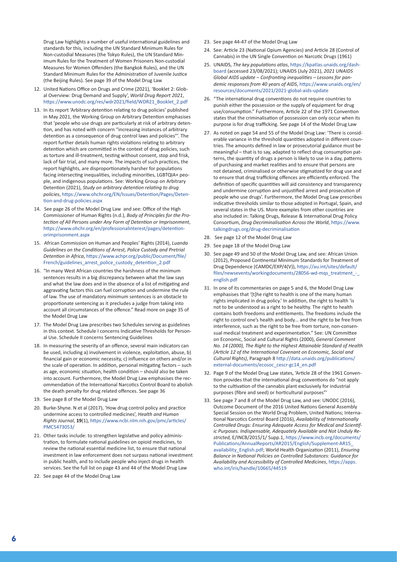Drug Law highlights a number of useful international guidelines and standards for this, including the UN Standard Minimum Rules for Non-custodial Measures (the Tokyo Rules), the UN Standard Minimum Rules for the Treatment of Women Prisoners Non-custodial Measures for Women Offenders (the Bangkok Rules), and the UN Standard Minimum Rules for the Administration of Juvenile Justice (the Beijing Rules). See page 39 of the Model Drug Law

- 12. United Nations Office on Drugs and Crime (2021), 'Booklet 2: Global Overview: Drug Demand and Supply', *World Drug Report 2021*, [https://www.unodc.org/res/wdr2021/field/WDR21\\_Booklet\\_2.pdf](https://www.unodc.org/res/wdr2021/field/WDR21_Booklet_2.pdf)
- 13. In its report 'Arbitrary detention relating to drug policies' published in May 2021, the Working Group on Arbitrary Detention emphasises that 'people who use drugs are particularly at risk of arbitrary detention, and has noted with concern "increasing instances of arbitrary detention as a consequence of drug control laws and policies"'. The report further details human rights violations relating to arbitrary detention which are committed in the context of drug policies, such as torture and ill-treatment, testing without consent, stop and frisk, lack of fair trial, and many more. The impacts of such practices, the report highlights, are disproportionately harsher for populations facing intersecting inequalities, including minorities, LGBTQIA+ people, and indigenous populations. See: Working Group on Arbitrary Detention (2021), *Study on arbitrary detention relating to drug policies*, [https://www.ohchr.org/EN/Issues/Detention/Pages/Deten](https://www.ohchr.org/EN/Issues/Detention/Pages/Detention-and-drug-policies.aspx)[tion-and-drug-policies.aspx](https://www.ohchr.org/EN/Issues/Detention/Pages/Detention-and-drug-policies.aspx)
- 14. See page 26 of the Model Drug Law and see: Office of the High Commissioner of Human Rights (n.d.), *Body of Principles for the Protection of All Persons under Any Form of Detention or Imprisonment*, [https://www.ohchr.org/en/professionalinterest/pages/detention](https://www.ohchr.org/en/professionalinterest/pages/detentionorimprisonment.aspx)[orimprisonment.aspx](https://www.ohchr.org/en/professionalinterest/pages/detentionorimprisonment.aspx)
- 15. African Commission on Human and Peoples' Rights (2014), *Luanda Guidelines on the Conditions of Arrest, Police Custody and Pretrial Detention in Africa*, [https://www.achpr.org/public/Document/file/](https://www.achpr.org/public/Document/file/French/guidelines_arrest_police_custody_detention_2.pdf) [French/guidelines\\_arrest\\_police\\_custody\\_detention\\_2.pdf](https://www.achpr.org/public/Document/file/French/guidelines_arrest_police_custody_detention_2.pdf)
- 16. "In many West African countries the harshness of the minimum sentences results in a big discrepancy between what the law says and what the law does and in the absence of a list of mitigating and aggravating factors this can fuel corruption and undermine the rule of law. The use of mandatory minimum sentences is an obstacle to proportionate sentencing as it precludes a judge from taking into account all circumstances of the offence." Read more on page 35 of the Model Drug Law
- 17. The Model Drug Law prescribes two Schedules serving as guidelines in this context. Schedule I concerns Indicative Thresholds for Personal Use. Schedule II concerns Sentencing Guidelines
- 18. In measuring the severity of an offence, several main indicators can be used, including a) involvement in violence, exploitation, abuse, b) financial gain or economic necessity, c) influence on others and/or in the scale of operation. In addition, personal mitigating factors – such as age, economic situation, health condition – should also be taken into account. Furthermore, the Model Drug Law emphasises the recommendation of the International Narcotics Control Board to abolish the death penalty for drug related offences. See page 36
- 19. See page 8 of the Model Drug Law
- 20. Burke-Shyne. N et al (2017), 'How drug control policy and practice undermine access to controlled medicines', *Health and Human Rights Journal*, **19**(1), [https://www.ncbi.nlm.nih.gov/pmc/articles/](https://www.ncbi.nlm.nih.gov/pmc/articles/PMC5473053/) [PMC5473053/](https://www.ncbi.nlm.nih.gov/pmc/articles/PMC5473053/)
- 21. Other tasks include: to strengthen legislative and policy administration, to formulate national guidelines on opioid medicines, to review the national essential medicine list, to ensure that national investment in law enforcement does not surpass national investment in public health, and to include people who inject drugs in health services. See the full list on page 43 and 44 of the Model Drug Law
- 22. See page 44 of the Model Drug Law
- 23. See page 44-47 of the Model Drug Law
- 24. See: Article 23 (National Opium Agencies) and Article 28 (Control of Cannabis) in the UN Single Convention on Narcotic Drugs (1961)
- 25. UNAIDS, *The key populations atlas*, [https://kpatlas.unaids.org/dash](https://kpatlas.unaids.org/dashboard)[board](https://kpatlas.unaids.org/dashboard) (accessed 23/08/2021); UNAIDS (July 2021), *2021 UNAIDS Global AIDS update – Confronting inequalities – Lessons for pandemic responses from 40 years of AIDS*, [https://www.unaids.org/en/](https://www.unaids.org/en/resources/documents/2021/2021-global-aids-update) [resources/documents/2021/2021-global-aids-update](https://www.unaids.org/en/resources/documents/2021/2021-global-aids-update)
- 26. "The international drug conventions do not require countries to punish either the possession or the supply of equipment for drug use/consumption." Furthermore, Article 22 of the 1971 Convention states that the criminalisation of possession can only occur when its purpose is for drug trafficking. See page 14 of the Model Drug Law
- 27. As noted on page 54 and 55 of the Model Drug Law: 'There is considerable variance in the threshold quantities adopted in different countries. The amounts defined in law or prosecutorial guidance must be meaningful – that is to say, adapted to reflect drug consumption patterns, the quantity of drugs a person is likely to use in a day, patterns of purchasing and market realities and to ensure that persons are not detained, criminalised or otherwise stigmatized for drug use and to ensure that drug trafficking offences are efficiently enforced. The definition of specific quantities will aid consistency and transparency and undermine corruption and unjustified arrest and prosecution of people who use drugs'. Furthermore, the Model Drug Law prescribes indicative thresholds similar to those adopted in Portugal, Spain, and several states in the US. More examples from other countries are also included in: Talking Drugs, Release & International Drug Policy Consortium, *Drug Decriminalisation Across the World*, [https://www.](https://www.talkingdrugs.org/drug-decriminalisation) [talkingdrugs.org/drug-decriminalisation](https://www.talkingdrugs.org/drug-decriminalisation)
- 28. See page 12 of the Model Drug Law
- 29. See page 18 of the Model Drug Law
- 30. See page 49 and 50 of the Model Drug Law, and see: African Union (2012), Proposed Continental Minimum Standards for Treatment of Drug Dependence (CAMDC/EXP/4(V)), [https://au.int/sites/default/](https://au.int/sites/default/files/newsevents/workingdocuments/28056-wd-mqs_treatment_-_english.pdf) [files/newsevents/workingdocuments/28056-wd-mqs\\_treatment\\_-\\_](https://au.int/sites/default/files/newsevents/workingdocuments/28056-wd-mqs_treatment_-_english.pdf) [english.pdf](https://au.int/sites/default/files/newsevents/workingdocuments/28056-wd-mqs_treatment_-_english.pdf)
- 31. In one of its commentaries on page 5 and 6, the Model Drug Law emphasises that '[t]he right to health is one of the many human rights implicated in drug policy.' In addition, the right to health 'is not to be understood as a right to be healthy. The right to health contains both freedoms and entitlements. The freedoms include the right to control one's health and body... and the right to be free from interference, such as the right to be free from torture, non-consensual medical treatment and experimentation." See: UN Committee on Economic, Social and Cultural Rights (2000), *General Comment No. 14 (2000), The Right to the Highest Attainable Standard of Health (Article 12 of the International Covenant on Economic, Social and Cultural Rights)*, Paragraph 8 [http://data.unaids.org/publications/](http://data.unaids.org/publications/external-documents/ecosoc_cescr-gc14_en.pdf) [external-documents/ecosoc\\_cescr-gc14\\_en.pdf](http://data.unaids.org/publications/external-documents/ecosoc_cescr-gc14_en.pdf)
- 32. Page 9 of the Model Drug Law states, 'Article 28 of the 1961 Convention provides that the international drug conventions do "not apply to the cultivation of the cannabis plant exclusively for industrial purposes (fibre and seed) or horticultural purposes"'
- 33. See page 7 and 8 of the Model Drug Law, and see: UNODC (2016), Outcome Document of the 2016 United Nations General Assembly Special Session on the World Drug Problem, United Nations; International Narcotics Control Board (2016), *Availability of Internationally Controlled Drugs: Ensuring Adequate Access for Medical and Scientific Purposes. Indispensable, Adequately Available and Not Unduly Restricted,* E/INCB/2015/1/ Supp.1, [https://www.incb.org/documents/](https://www.incb.org/documents/Publications/AnnualReports/AR2015/English/Supplement-AR15_availability_English.pdf) [Publications/AnnualReports/AR2015/English/Supplement-AR15\\_](https://www.incb.org/documents/Publications/AnnualReports/AR2015/English/Supplement-AR15_availability_English.pdf) [availability\\_English.pdf;](https://www.incb.org/documents/Publications/AnnualReports/AR2015/English/Supplement-AR15_availability_English.pdf) World Health Organization (2011), *Ensuring Balance in National Policies on Controlled Substances: Guidance for Availability and Accessibility of Controlled Medicines*, [https://apps.](https://apps.who.int/iris/handle/10665/44519) [who.int/iris/handle/10665/44519](https://apps.who.int/iris/handle/10665/44519)